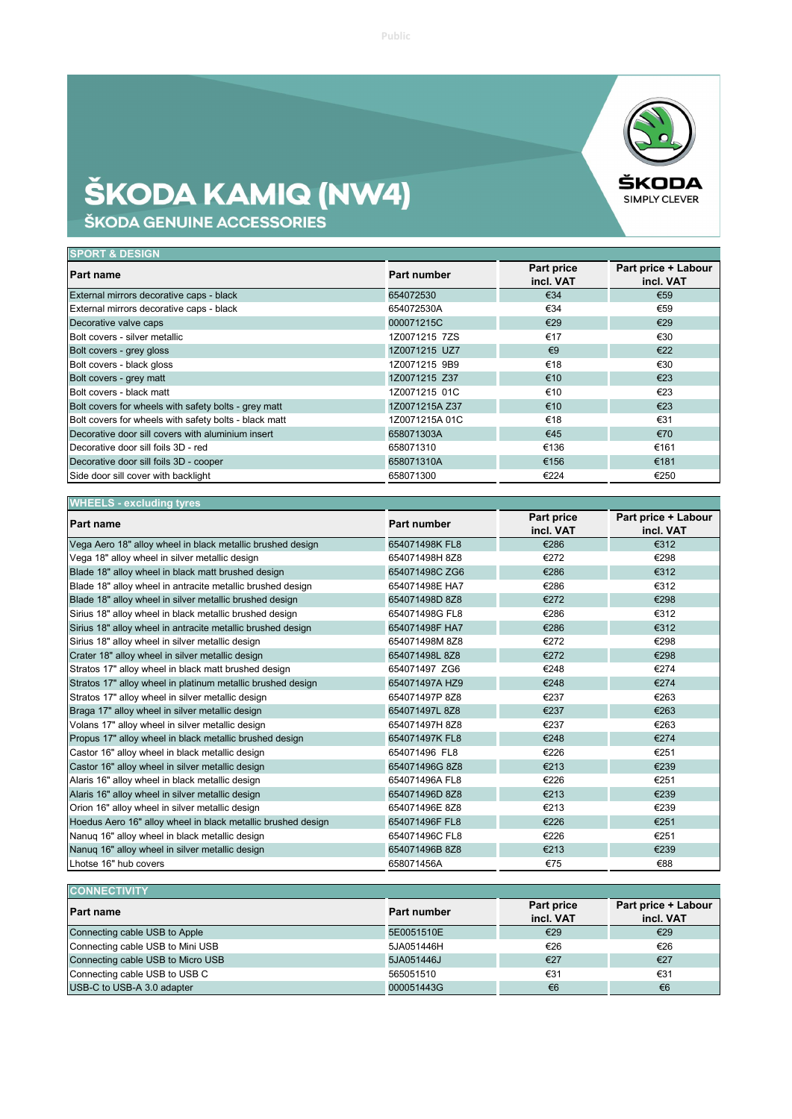## **ŠKODA KAMIQ (NW4)**<br>škoda genuine accessories



| <b>SPORT &amp; DESIGN</b>                             |                |                         |                                  |  |
|-------------------------------------------------------|----------------|-------------------------|----------------------------------|--|
| <b>Part name</b>                                      | Part number    | Part price<br>incl. VAT | Part price + Labour<br>incl. VAT |  |
| External mirrors decorative caps - black              | 654072530      | €34                     | €59                              |  |
| External mirrors decorative caps - black              | 654072530A     | €34                     | €59                              |  |
| Decorative valve caps                                 | 000071215C     | €29                     | €29                              |  |
| Bolt covers - silver metallic                         | 1Z0071215 7ZS  | €17                     | €30                              |  |
| Bolt covers - grey gloss                              | 1Z0071215 UZ7  | $\epsilon$ 9            | €22                              |  |
| Bolt covers - black gloss                             | 1Z0071215 9B9  | €18                     | €30                              |  |
| Bolt covers - grey matt                               | 1Z0071215 Z37  | €10                     | €23                              |  |
| Bolt covers - black matt                              | 1Z0071215 01C  | €10                     | €23                              |  |
| Bolt covers for wheels with safety bolts - grey matt  | 1Z0071215A Z37 | €10                     | €23                              |  |
| Bolt covers for wheels with safety bolts - black matt | 1Z0071215A01C  | €18                     | €31                              |  |
| Decorative door sill covers with aluminium insert     | 658071303A     | €45                     | €70                              |  |
| Decorative door sill foils 3D - red                   | 658071310      | €136                    | €161                             |  |
| Decorative door sill foils 3D - cooper                | 658071310A     | €156                    | €181                             |  |
| Side door sill cover with backlight                   | 658071300      | €224                    | €250                             |  |

| <b>WHEELS</b> - excluding tyres                              |                    |                         |                                  |  |
|--------------------------------------------------------------|--------------------|-------------------------|----------------------------------|--|
| Part name                                                    | <b>Part number</b> | Part price<br>incl. VAT | Part price + Labour<br>incl. VAT |  |
| Vega Aero 18" alloy wheel in black metallic brushed design   | 654071498K FL8     | €286                    | €312                             |  |
| Vega 18" alloy wheel in silver metallic design               | 654071498H 8Z8     | €272                    | €298                             |  |
| Blade 18" alloy wheel in black matt brushed design           | 654071498C ZG6     | €286                    | €312                             |  |
| Blade 18" alloy wheel in antracite metallic brushed design   | 654071498E HA7     | €286                    | €312                             |  |
| Blade 18" alloy wheel in silver metallic brushed design      | 654071498D 8Z8     | €272                    | €298                             |  |
| Sirius 18" alloy wheel in black metallic brushed design      | 654071498G FL8     | €286                    | €312                             |  |
| Sirius 18" alloy wheel in antracite metallic brushed design  | 654071498F HA7     | €286                    | €312                             |  |
| Sirius 18" alloy wheel in silver metallic design             | 654071498M 8Z8     | €272                    | €298                             |  |
| Crater 18" alloy wheel in silver metallic design             | 654071498L8Z8      | €272                    | €298                             |  |
| Stratos 17" alloy wheel in black matt brushed design         | 654071497 ZG6      | €248                    | €274                             |  |
| Stratos 17" alloy wheel in platinum metallic brushed design  | 654071497A HZ9     | €248                    | €274                             |  |
| Stratos 17" alloy wheel in silver metallic design            | 654071497P8Z8      | €237                    | €263                             |  |
| Braga 17" alloy wheel in silver metallic design              | 654071497L 8Z8     | €237                    | €263                             |  |
| Volans 17" alloy wheel in silver metallic design             | 654071497H 8Z8     | €237                    | €263                             |  |
| Propus 17" alloy wheel in black metallic brushed design      | 654071497K FL8     | €248                    | €274                             |  |
| Castor 16" alloy wheel in black metallic design              | 654071496 FL8      | €226                    | €251                             |  |
| Castor 16" alloy wheel in silver metallic design             | 654071496G 8Z8     | €213                    | €239                             |  |
| Alaris 16" alloy wheel in black metallic design              | 654071496A FL8     | €226                    | €251                             |  |
| Alaris 16" alloy wheel in silver metallic design             | 654071496D 8Z8     | €213                    | €239                             |  |
| Orion 16" alloy wheel in silver metallic design              | 654071496E 8Z8     | €213                    | €239                             |  |
| Hoedus Aero 16" alloy wheel in black metallic brushed design | 654071496F FL8     | €226                    | €251                             |  |
| Nanuq 16" alloy wheel in black metallic design               | 654071496C FL8     | €226                    | €251                             |  |
| Nanuq 16" alloy wheel in silver metallic design              | 654071496B 8Z8     | €213                    | €239                             |  |
| Lhotse 16" hub covers                                        | 658071456A         | €75                     | €88                              |  |

| <b>CONNECTIVITY</b>               |             |                                |                                  |
|-----------------------------------|-------------|--------------------------------|----------------------------------|
| <b>Part name</b>                  | Part number | <b>Part price</b><br>incl. VAT | Part price + Labour<br>incl. VAT |
| Connecting cable USB to Apple     | 5E0051510E  | €29                            | €29                              |
| Connecting cable USB to Mini USB  | 5JA051446H  | €26                            | €26                              |
| Connecting cable USB to Micro USB | 5JA051446J  | €27                            | €27                              |
| Connecting cable USB to USB C     | 565051510   | €31                            | €31                              |
| USB-C to USB-A 3.0 adapter        | 000051443G  | €6                             | €6                               |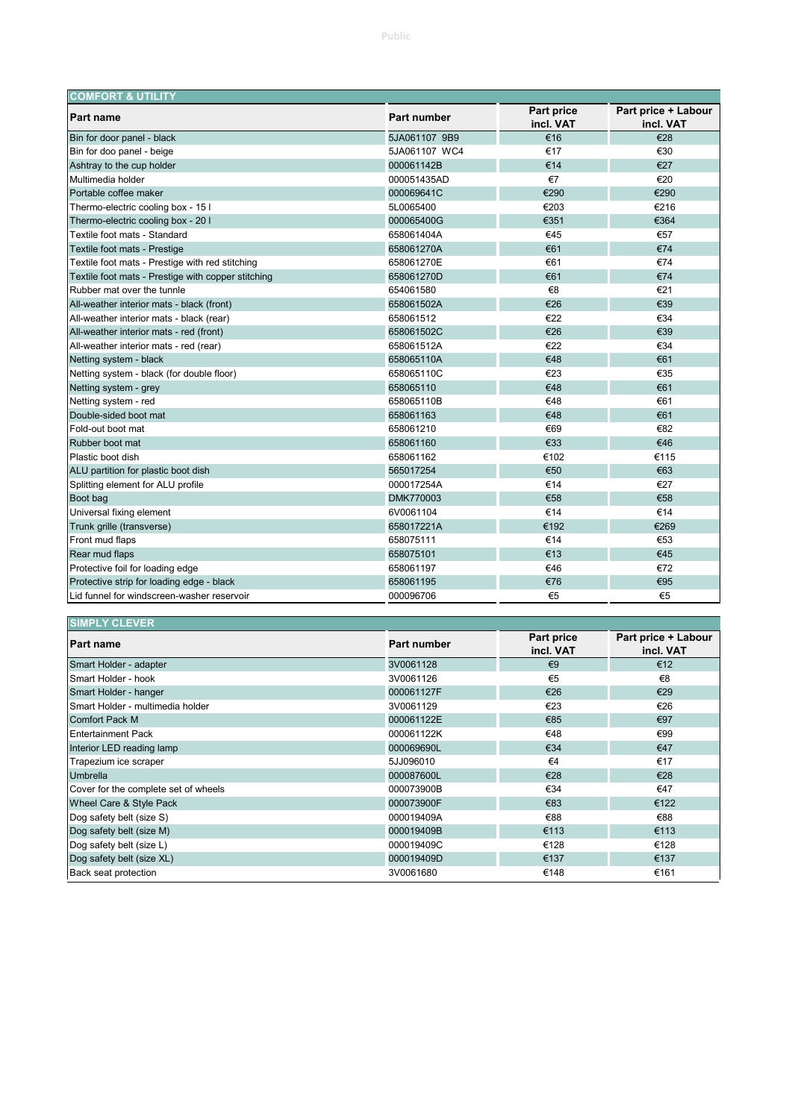| <b>COMFORT &amp; UTILITY</b>                       |               |                         |                                  |  |
|----------------------------------------------------|---------------|-------------------------|----------------------------------|--|
| Part name                                          | Part number   | Part price<br>incl. VAT | Part price + Labour<br>incl. VAT |  |
| Bin for door panel - black                         | 5JA061107 9B9 | €16                     | €28                              |  |
| Bin for doo panel - beige                          | 5JA061107 WC4 | €17                     | €30                              |  |
| Ashtray to the cup holder                          | 000061142B    | €14                     | €27                              |  |
| Multimedia holder                                  | 000051435AD   | €7                      | €20                              |  |
| Portable coffee maker                              | 000069641C    | €290                    | €290                             |  |
| Thermo-electric cooling box - 15 I                 | 5L0065400     | €203                    | €216                             |  |
| Thermo-electric cooling box - 20 I                 | 000065400G    | €351                    | €364                             |  |
| Textile foot mats - Standard                       | 658061404A    | €45                     | €57                              |  |
| Textile foot mats - Prestige                       | 658061270A    | €61                     | €74                              |  |
| Textile foot mats - Prestige with red stitching    | 658061270E    | €61                     | €74                              |  |
| Textile foot mats - Prestige with copper stitching | 658061270D    | €61                     | €74                              |  |
| Rubber mat over the tunnle                         | 654061580     | €8                      | €21                              |  |
| All-weather interior mats - black (front)          | 658061502A    | €26                     | €39                              |  |
| All-weather interior mats - black (rear)           | 658061512     | €22                     | €34                              |  |
| All-weather interior mats - red (front)            | 658061502C    | €26                     | €39                              |  |
| All-weather interior mats - red (rear)             | 658061512A    | €22                     | €34                              |  |
| Netting system - black                             | 658065110A    | €48                     | €61                              |  |
| Netting system - black (for double floor)          | 658065110C    | €23                     | €35                              |  |
| Netting system - grey                              | 658065110     | €48                     | €61                              |  |
| Netting system - red                               | 658065110B    | €48                     | €61                              |  |
| Double-sided boot mat                              | 658061163     | €48                     | €61                              |  |
| Fold-out boot mat                                  | 658061210     | €69                     | €82                              |  |
| Rubber boot mat                                    | 658061160     | €33                     | €46                              |  |
| Plastic boot dish                                  | 658061162     | €102                    | €115                             |  |
| ALU partition for plastic boot dish                | 565017254     | €50                     | €63                              |  |
| Splitting element for ALU profile                  | 000017254A    | €14                     | €27                              |  |
| Boot bag                                           | DMK770003     | €58                     | €58                              |  |
| Universal fixing element                           | 6V0061104     | €14                     | €14                              |  |
| Trunk grille (transverse)                          | 658017221A    | €192                    | €269                             |  |
| Front mud flaps                                    | 658075111     | €14                     | €53                              |  |
| Rear mud flaps                                     | 658075101     | €13                     | €45                              |  |
| Protective foil for loading edge                   | 658061197     | €46                     | €72                              |  |
| Protective strip for loading edge - black          | 658061195     | €76                     | €95                              |  |
| Lid funnel for windscreen-washer reservoir         | 000096706     | €5                      | €5                               |  |

| <b>SIMPLY CLEVER</b>                 |             |                         |                                  |
|--------------------------------------|-------------|-------------------------|----------------------------------|
| <b>Part name</b>                     | Part number | Part price<br>incl. VAT | Part price + Labour<br>incl. VAT |
| Smart Holder - adapter               | 3V0061128   | $\epsilon$ 9            | €12                              |
| Smart Holder - hook                  | 3V0061126   | €5                      | €8                               |
| Smart Holder - hanger                | 000061127F  | €26                     | €29                              |
| Smart Holder - multimedia holder     | 3V0061129   | €23                     | €26                              |
| Comfort Pack M                       | 000061122E  | €85                     | €97                              |
| <b>IEntertainment Pack</b>           | 000061122K  | €48                     | €99                              |
| Interior LED reading lamp            | 000069690L  | €34                     | €47                              |
| Trapezium ice scraper                | 5JJ096010   | €4                      | €17                              |
| <b>Umbrella</b>                      | 000087600L  | €28                     | €28                              |
| Cover for the complete set of wheels | 000073900B  | €34                     | €47                              |
| Wheel Care & Style Pack              | 000073900F  | €83                     | €122                             |
| Dog safety belt (size S)             | 000019409A  | €88                     | €88                              |
| Dog safety belt (size M)             | 000019409B  | €113                    | €113                             |
| Dog safety belt (size L)             | 000019409C  | €128                    | €128                             |
| Dog safety belt (size XL)            | 000019409D  | €137                    | €137                             |
| Back seat protection                 | 3V0061680   | €148                    | €161                             |